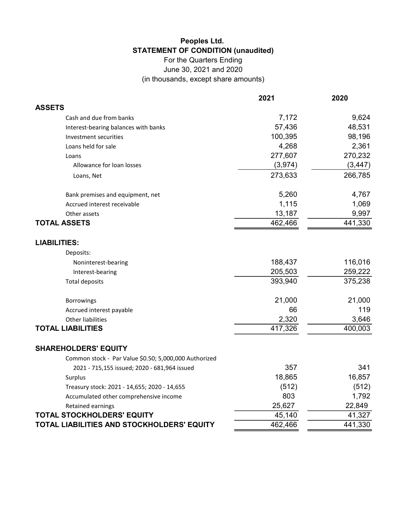## Peoples Ltd. STATEMENT OF CONDITION (unaudited)

For the Quarters Ending June 30, 2021 and 2020 (in thousands, except share amounts)

|                                                       | 2021    | 2020     |
|-------------------------------------------------------|---------|----------|
| <b>ASSETS</b>                                         |         |          |
| Cash and due from banks                               | 7,172   | 9,624    |
| Interest-bearing balances with banks                  | 57,436  | 48,531   |
| Investment securities                                 | 100,395 | 98,196   |
| Loans held for sale                                   | 4,268   | 2,361    |
| Loans                                                 | 277,607 | 270,232  |
| Allowance for loan losses                             | (3,974) | (3, 447) |
| Loans, Net                                            | 273,633 | 266,785  |
| Bank premises and equipment, net                      | 5,260   | 4,767    |
| Accrued interest receivable                           | 1,115   | 1,069    |
| Other assets                                          | 13,187  | 9,997    |
| <b>TOTAL ASSETS</b>                                   | 462,466 | 441,330  |
| <b>LIABILITIES:</b>                                   |         |          |
| Deposits:                                             |         |          |
| Noninterest-bearing                                   | 188,437 | 116,016  |
| Interest-bearing                                      | 205,503 | 259,222  |
| <b>Total deposits</b>                                 | 393,940 | 375,238  |
| Borrowings                                            | 21,000  | 21,000   |
| Accrued interest payable                              | 66      | 119      |
| <b>Other liabilities</b>                              | 2,320   | 3,646    |
| <b>TOTAL LIABILITIES</b>                              | 417,326 | 400,003  |
| <b>SHAREHOLDERS' EQUITY</b>                           |         |          |
| Common stock - Par Value \$0.50; 5,000,000 Authorized |         |          |
| 2021 - 715,155 issued; 2020 - 681,964 issued          | 357     | 341      |
| Surplus                                               | 18,865  | 16,857   |
| Treasury stock: 2021 - 14,655; 2020 - 14,655          | (512)   | (512)    |
| Accumulated other comprehensive income                | 803     | 1,792    |
| Retained earnings                                     | 25,627  | 22,849   |
| <b>TOTAL STOCKHOLDERS' EQUITY</b>                     | 45,140  | 41,327   |
| TOTAL LIABILITIES AND STOCKHOLDERS' EQUITY            | 462,466 | 441,330  |